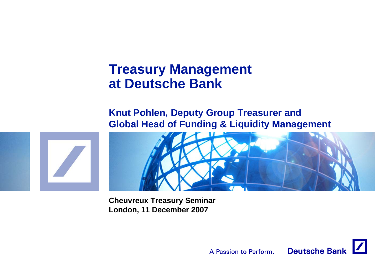# **Treasury Management at Deutsche Bank**

### **Knut Pohlen, Deputy Group Treasurer and Global Head of Funding & Liquidity Management**





**Cheuvreux Treasury Seminar London, 11 December 2007**

> **Deutsche Bank** A Passion to Perform.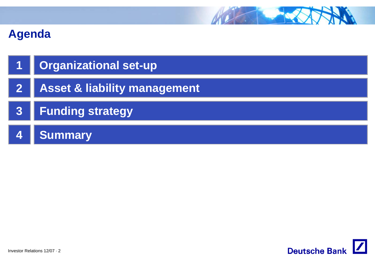

| 1   Organizational set-up        |
|----------------------------------|
| 2   Asset & liability management |
| 3   Funding strategy             |
| <b>Summary</b>                   |

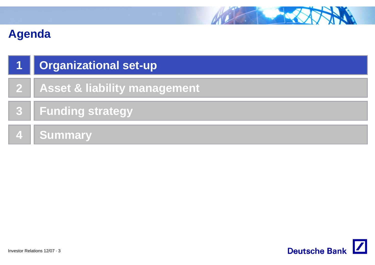

| $\vert$ 1 $\vert$ | Organizational set-up            |
|-------------------|----------------------------------|
|                   | 2   Asset & liability management |
|                   | 3   Funding strategy             |
|                   | 4 Summary                        |

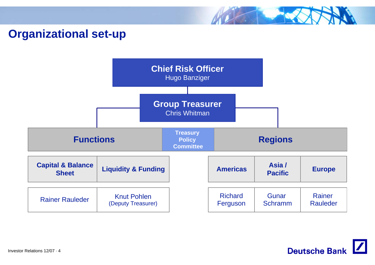### **Organizational set-up**



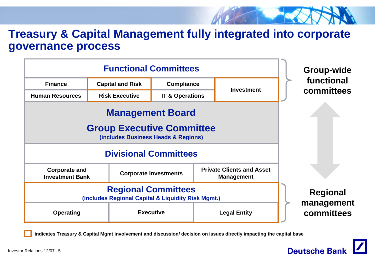### **Treasury & Capital Management fully integrated into corporate governance process**

| <b>Functional Committees</b>                                                                       |                                                     |                              |                   | <b>Group-wide</b>                                     |                          |
|----------------------------------------------------------------------------------------------------|-----------------------------------------------------|------------------------------|-------------------|-------------------------------------------------------|--------------------------|
| <b>Finance</b>                                                                                     | <b>Capital and Risk</b><br><b>Compliance</b>        |                              |                   | functional                                            |                          |
| <b>Human Resources</b>                                                                             | <b>Risk Executive</b><br><b>IT &amp; Operations</b> |                              | <b>Investment</b> | committees                                            |                          |
| <b>Management Board</b><br><b>Group Executive Committee</b><br>(includes Business Heads & Regions) |                                                     |                              |                   |                                                       |                          |
| <b>Divisional Committees</b>                                                                       |                                                     |                              |                   |                                                       |                          |
| <b>Corporate and</b><br><b>Investment Bank</b>                                                     |                                                     | <b>Corporate Investments</b> |                   | <b>Private Clients and Asset</b><br><b>Management</b> |                          |
| <b>Regional Committees</b><br>(includes Regional Capital & Liquidity Risk Mgmt.)                   |                                                     |                              |                   | <b>Regional</b>                                       |                          |
| <b>Operating</b>                                                                                   |                                                     | <b>Executive</b>             |                   | <b>Legal Entity</b>                                   | management<br>committees |

**indicates Treasury & Capital Mgmt involvement and discussion/ decision on issues directly impacting the capital base**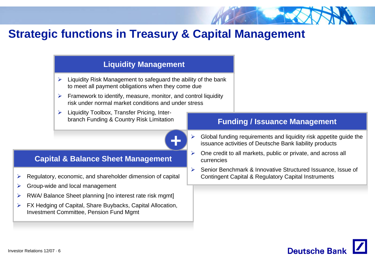## **Strategic functions in Treasury & Capital Management**

#### **Capital & Balance Sheet Management** Regulatory, economic, and shareholder dimension of capital Group-wide and local management RWA/ Balance Sheet planning [no interest rate risk mgmt] FX Hedging of Capital, Share Buybacks, Capital Allocation, Investment Committee, Pension Fund Mgmt **Liquidity Management**  $\blacktriangleright$  Liquidity Risk Management to safeguard the ability of the bank to meet all payment obligations when they come due  $\triangleright$  Framework to identify, measure, monitor, and control liquidity risk under normal market conditions and under stress $\triangleright$  Liquidity Toolbox, Transfer Pricing, Interbranch Funding & Country Risk Limitation **Funding / Issuance Management** ¾ Global funding requirements and liquidity risk appetite guide the issuance activities of Deutsche Bank liability products  $\blacktriangleright$  One credit to all markets, public or private, and across all currencies $\blacktriangleright$  Senior Benchmark & Innovative Structured Issuance, Issue of Contingent Capital & Regulatory Capital Instruments **+**



¾

¾

¾

 $\blacktriangleright$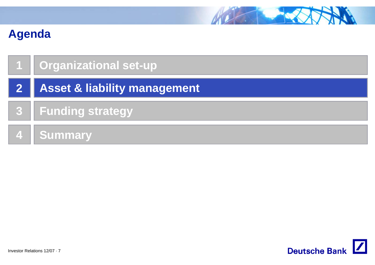

|                | <b>Organizational set-up</b> |
|----------------|------------------------------|
| $\boxed{2}$    | Asset & liability management |
|                | 3   Funding strategy         |
| $\overline{4}$ | <b>Summary</b>               |

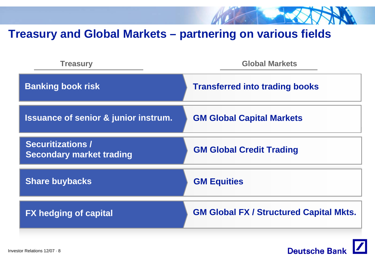

### **Treasury and Global Markets – partnering on various fields**

| <b>Treasury</b>                                             | <b>Global Markets</b>                          |
|-------------------------------------------------------------|------------------------------------------------|
| <b>Banking book risk</b>                                    | <b>Transferred into trading books</b>          |
| <b>Issuance of senior &amp; junior instrum.</b>             | <b>GM Global Capital Markets</b>               |
| <b>Securitizations /</b><br><b>Secondary market trading</b> | <b>GM Global Credit Trading</b>                |
| <b>Share buybacks</b>                                       | <b>GM Equities</b>                             |
| <b>FX hedging of capital</b>                                | <b>GM Global FX / Structured Capital Mkts.</b> |

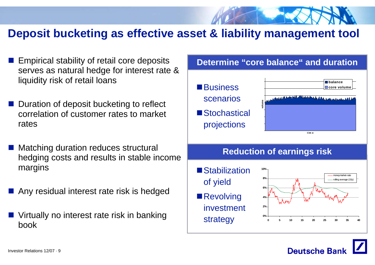### **Deposit bucketing as effective asset & liability management tool**

- Empirical stability of retail core deposits serves as natural hedge for interest rate & liquidity risk of retail loans
- **Duration of deposit bucketing to reflect** correlation of customer rates to market rates
- Matching duration reduces structural hedging costs and results in stable income margins
- Any residual interest rate risk is hedged
- $\frac{1}{2}$  Virtually no interest rate risk in banking book



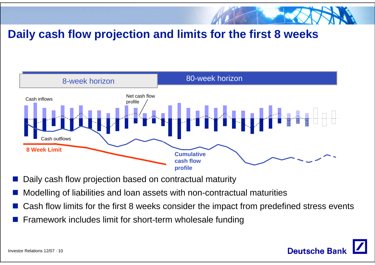

# **Daily cash flow projection and limits for the first 8 weeks**



- Daily cash flow projection based on contractual maturity
- $\frac{1}{2}$ Modelling of liabilities and loan assets with non-contractual maturities
- $\frac{1}{2}$ Cash flow limits for the first 8 weeks consider the impact from predefined stress events
- $\frac{1}{2}$ Framework includes limit for short-term wholesale funding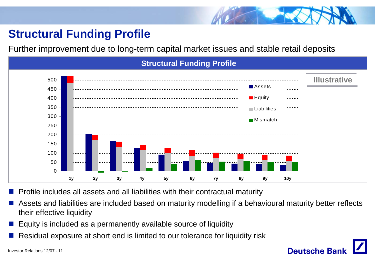# **Structural Funding Profile**

Further improvement due to long-term capital market issues and stable retail deposits



Г. Profile includes all assets and all liabilities with their contractual maturity

F. Assets and liabilities are included based on maturity modelling if a behavioural maturity better reflects their effective liquidity

**Deutsche Ban** 

- F. Equity is included as a permanently available source of liquidity
- F. Residual exposure at short end is limited to our tolerance for liquidity risk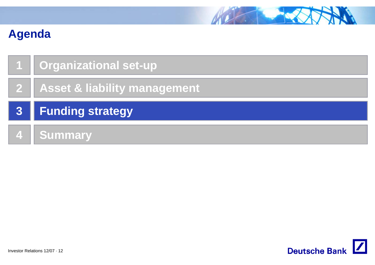

| <b>Organizational set-up</b>   |
|--------------------------------|
| 2 Asset & liability management |
|                                |
| 3 Funding strategy             |

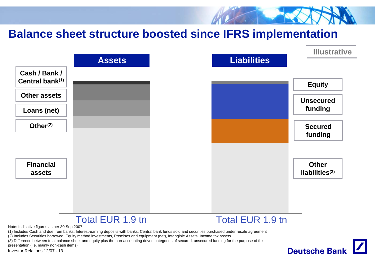### **Balance sheet structure boosted since IFRS implementation Illustrative Liabilities AssetsCash / Bank / Central bank(1) Equity Other assetsUnsecuredfunding Loans (net) Other(2) Securedfunding FinancialOther liabilities(3) assets**Total EUR 1.9 tnn and **Total EUR 1.9 tn** Note: Indicative figures as per 30 Sep 2007 (1) Includes Cash and due from banks, Interest-earning deposits with banks, Central bank funds sold and securities purchased under resale agreement (2) Includes Securities borrowed, Equity method investments, Premises and equipment (net), Intangible Assets, Income tax assets (3) Difference between total balance sheet and equity plus the non-accounting driven categories of secured, unsecured funding for the purpose of this presentation (i.e. mainly non-cash items)**Deutsche Bank**

Investor Relations 12/07 · 13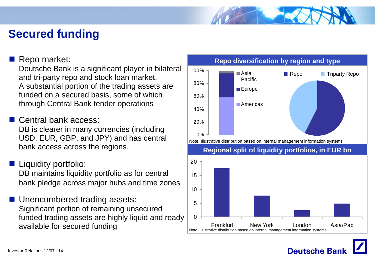## **Secured funding**

#### Repo market:

Deutsche Bank is a significant player in bilateral and tri-party repo and stock loan market. A substantial portion of the trading assets are funded on a secured basis, some of which through Central Bank tender operations

 $\frac{1}{2}$ Central bank access:

DB is clearer in many currencies (including USD, EUR, GBP, and JPY) and has central bank access across the regions.

- **Liquidity portfolio:** DB maintains liquidity portfolio as for central bank pledge across major hubs and time zones
- Unencumbered trading assets: Significant portion of remaining unsecured funded trading assets are highly liquid and ready available for secured funding



**Deutsche Ban** 

#### **Repo diversification by region and type**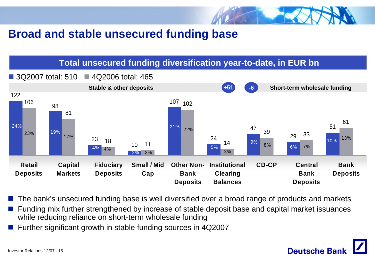

### **Broad and stable unsecured funding base**

### **Total unsecured funding diversification year-to-date, in EUR bn**



- P. The bank's unsecured funding base is well diversified over a broad range of products and markets
- F. Funding mix further strengthened by increase of stable deposit base and capital market issuances while reducing reliance on short-term wholesale funding
- F. Further significant growth in stable funding sources in 4Q2007

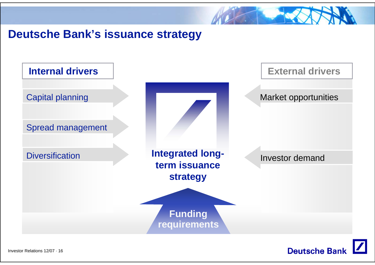

## **Deutsche Bank's issuance strategy**





Investor Relations 12/07 · 16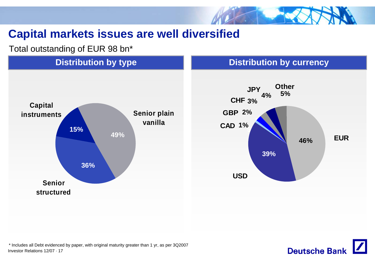

# **Capital markets issues are well diversified**

Total outstanding of EUR 98 bn\*



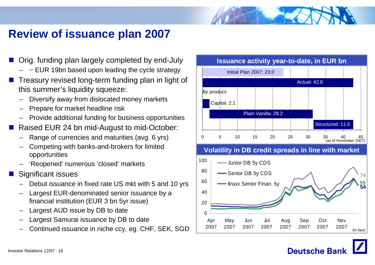### **Review of issuance plan 2007**

- $\mathbb{R}^2$  Orig. funding plan largely completed by end-July
	- $\,$   $\sim$  EUR 19bn based upon leading the cycle strategy
- $\mathbb{R}^2$  Treasury revised long-term funding plan in light of this summer's liquidity squeeze:
	- Diversify away from dislocated money markets
	- Prepare for market headline risk
	- Provide additional funding for business opportunities
- Г. Raised EUR 24 bn mid-August to mid-October:
	- Range of currencies and maturities (avg. 6 yrs)
	- Competing with banks-and-brokers for limited opportunities
	- 'Reopened' numerous 'closed' markets
- Г. Significant issues
	- Debut issuance in fixed rate US mkt with 5 and 10 yrs
	- Largest EUR-denominated senior issuance by a financial institution (EUR 3 bn 5yr issue)
	- Largest AUD issue by DB to date
	- Largest Samurai issuance by DB to date
	- Continued issuance in niche ccy, eg. CHF, SEK, SGD

#### **Issuance activity year-to-date, in EUR bn**



(in bps)

**Deutsche Ban**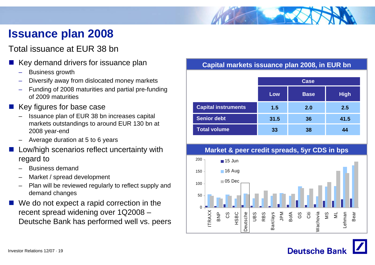# **Issuance plan 2008**

### Total issuance at EUR 38 bn

- p. Key demand drivers for issuance plan
	- Business growth
	- Diversify away from dislocated money markets
	- – Funding of 2008 maturities and partial pre-funding of 2009 maturities
- Key figures for base case
	- Issuance plan of EUR 38 bn increases capital markets outstandings to around EUR 130 bn at 2008 year-end
	- Average duration at 5 to 6 years
- $\mathbb{R}^3$  Low/high scenarios reflect uncertainty with regard to
	- Business demand
	- Market / spread development
	- – Plan will be reviewed regularly to reflect supply and demand changes
- We do not expect a rapid correction in the recent spread widening over 1Q2008 – Deutsche Bank has performed well vs. peers

#### **Capital markets issuance plan 2008, in EUR bn**

|                            |      | <b>Case</b> |             |
|----------------------------|------|-------------|-------------|
|                            | Low  | <b>Base</b> | <b>High</b> |
| <b>Capital instruments</b> | 1.5  | 2.0         | 2.5         |
| <b>Senior debt</b>         | 31.5 | 36          | 41.5        |
| <b>Total volume</b>        | 33   | 38          | 44          |

#### **Market & peer credit spreads, 5yr CDS in bps** 200  $\blacksquare$  15 Jun 150■16 Aug 05 Dec 10050 0ITRAXX BNP CS HSBC **Deutsche** UBS RBS Barclays JPM Citi MS Deutsche as<br>G<br>GS Nachovia Wachovia  $\overline{\mathbf{z}}$ Bear Lehman

# **Deutsche Ban**

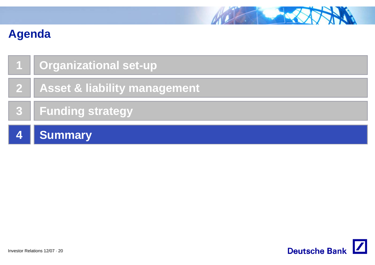

|                 | 1   Organizational set-up        |
|-----------------|----------------------------------|
|                 | 2   Asset & liability management |
|                 | 3 Funding strategy               |
| $\vert 4 \vert$ | <b>Summary</b>                   |

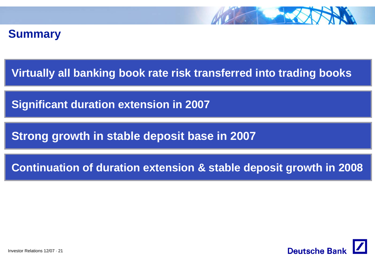

### **Summary**

**Virtually all banking book rate risk transferred into trading books**

**Significant duration extension in 2007**

**Strong growth in stable deposit base in 2007**

**Continuation of duration extension & stable deposit growth in 2008**